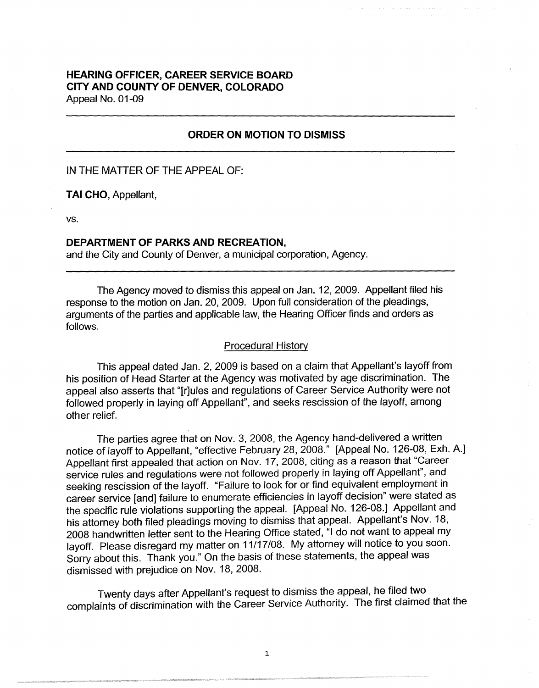# **HEARING OFFICER, CAREER SERVICE BOARD CITY AND COUNTY OF DENVER, COLORADO**  Appeal No. 01-09

#### **ORDER ON MOTION TO DISMISS**

IN THE MATTER OF THE APPEAL OF:

**TAI CHO,** Appellant,

vs.

## **DEPARTMENT OF PARKS AND RECREATION,**

and the City and County of Denver, a municipal corporation, Agency.

The Agency moved to dismiss this appeal on Jan. 12, 2009. Appellant filed his response to the motion on Jan. 20, 2009. Upon full consideration of the pleadings, arguments of the parties and applicable law, the Hearing Officer finds and orders as follows.

## Procedural History

This appeal dated Jan. 2, 2009 is based on a claim that Appellant's layoff from his position of Head Starter at the Agency was motivated by age discrimination. The appeal also asserts that "[r]ules and regulations of Career Service Authority were not followed properly in laying off Appellant", and seeks rescission of the layoff, among other relief.

The parties agree that on Nov. 3, 2008, the Agency hand-delivered a written notice of layoff to Appellant, "effective February 28, 2008." [Appeal No. 126-08, Exh. A.] Appellant first appealed that action on Nov. 17, 2008, citing as a reason that "Career service rules and regulations were not followed properly in laying off Appellant", and seeking rescission of the layoff. "Failure to look for or find equivalent employment in career service [and] failure to enumerate efficiencies in layoff decision" were stated as the specific rule violations supporting the appeal. [Appeal No. 126-08.] Appellant and his attorney both filed pleadings moving to dismiss that appeal. Appellant's Nov. 18, 2008 handwritten letter sent to the Hearing Office stated, "I do not want to appeal my layoff. Please disregard my matter on 11/17/08. My attorney will notice to you soon. Sorry about this. Thank you." On the basis of these statements, the appeal was dismissed with prejudice on Nov. 18, 2008.

Twenty days after Appellant's request to dismiss the appeal, he filed two complaints of discrimination with the Career Service Authority. The first claimed that the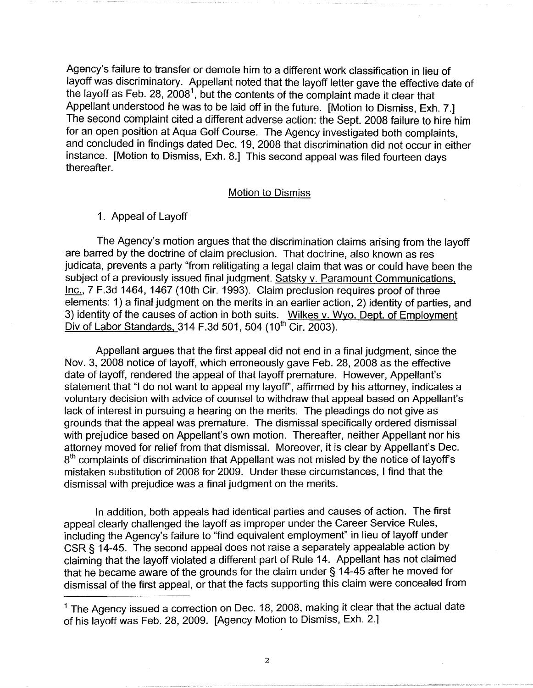Agency's failure to transfer or demote him to a different work classification in lieu of layoff was discriminatory. Appellant noted that the layoff letter gave the effective date of the layoff as Feb. 28, 2008<sup>1</sup>, but the contents of the complaint made it clear that Appellant understood he was to be laid off in the future. [Motion to Dismiss, Exh. 7.] The second complaint cited a different adverse action: the Sept. 2008 failure to hire him for an open position at Aqua Golf Course. The Agency investigated both complaints, and concluded in findings dated Dec. 19, 2008 that discrimination did not occur in either instance. [Motion to Dismiss, Exh. 8.] This second appeal was filed fourteen days thereafter.

#### Motion to Dismiss

## 1. Appeal of Layoff

The Agency's motion argues that the discrimination claims arising from the layoff are barred by the doctrine of claim preclusion. That doctrine, also known as res judicata, prevents a party "from relitigating a legal claim that was or could have been the subject of a previously issued final judgment. Satsky v. Paramount Communications, Inc., 7 F.3d 1464, 1467 (10th Cir. 1993). Claim preclusion requires proof of three elements: 1) a final judgment on the merits in an earlier action, 2) identity of parties, and 3) identity of the causes of action in both suits. Wilkes v. Wyo. Dept. of Employment Div of Labor Standards, 314 F.3d 501, 504 (10<sup>th</sup> Cir. 2003).

Appellant argues that the first appeal did not end in a final judgment, since the Nov. 3, 2008 notice of layoff, which erroneously gave Feb. 28, 2008 as the effective date of layoff, rendered the appeal of that layoff premature. However, Appellant's statement that "I do not want to appeal my layoff', affirmed by his attorney, indicates a voluntary decision with advice of counsel to withdraw that appeal based on Appellant's lack of interest in pursuing a hearing on the merits. The pleadings do not give as grounds that the appeal was premature. The dismissal specifically ordered dismissal with prejudice based on Appellant's own motion. Thereafter, neither Appellant nor his attorney moved for relief from that dismissal. Moreover, it is clear by Appellant's Dec. 8<sup>th</sup> complaints of discrimination that Appellant was not misled by the notice of layoff's mistaken substitution of 2008 for 2009. Under these circumstances, I find that the dismissal with prejudice was a final judgment on the merits.

In addition, both appeals had identical parties and causes of action. The first appeal clearly challenged the layoff as improper under the Career Service Rules, including the Agency's failure to "find equivalent employment" in lieu of layoff under CSR § 14-45. The second appeal does not raise a separately appealable action by claiming that the layoff violated a different part of Rule 14. Appellant has not claimed that he became aware of the grounds for the claim under § 14-45 after he moved for dismissal of the first appeal, or that the facts supporting this claim were concealed from

 $<sup>1</sup>$  The Agency issued a correction on Dec. 18, 2008, making it clear that the actual date</sup> of his layoff was Feb. 28, 2009. [Agency Motion to Dismiss, Exh. 2.]